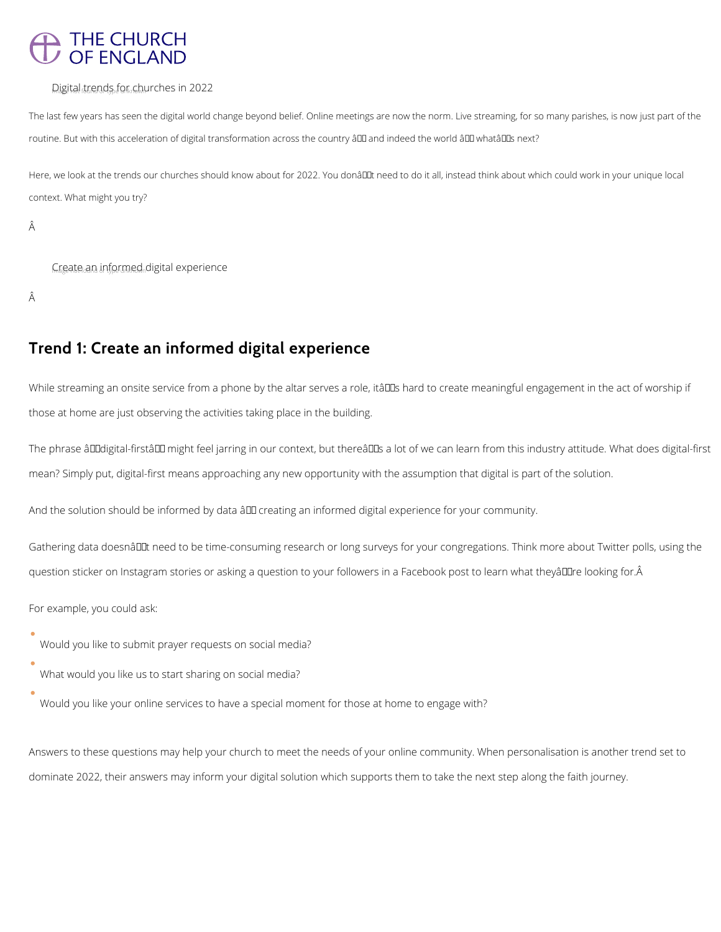# THE CHURCH<br>OF ENGLAND

#### Digital trends for churches in 2022

The last few years has seen the digital world change beyond belief. Online meetings are now the norm. Live streaming, for so many parishes, is now just part of the routine. But with this acceleration of digital transformation across the country â D and indeed the world â D whatâ D snext?

Here, we look at the trends our churches should know about for 2022. You donâll tneed to do it all, instead think about which could work in your unique local context. What might you try?

Â

Create an informed digital experience

Â

While streaming an onsite service from a phone by the altar serves a role, itâll a hard to create meaningful engagement in the act of worship if those at home are just observing the activities taking place in the building.

The phrase âDD digital-firstâ DD might feel jarring in our context, but thereâ DDs a lot of we can learn from this industry attitude. What does digital-first mean? Simply put, digital-first means approaching any new opportunity with the assumption that digital is part of the solution.

And the solution should be informed by data  $\frac{\partial \Pi}{\partial t}$  creating an informed digital experience for your community.

Gathering data doesnâl Lat need to be time-consuming research or long surveys for your congregations. Think more about Twitter polls, using the question sticker on Instagram stories or asking a question to your followers in a Facebook post to learn what theyâl le looking for. Â

# **Trend 1: Create an informed digital experience**

For example, you could ask:

- Would you like to submit prayer requests on social media?
- What would you like us to start sharing on social media?
- 

### Would you like your online services to have a special moment for those at home to engage with?

Answers to these questions may help your church to meet the needs of your online community. When personalisation is another trend set to

dominate 2022, their answers may inform your digital solution which supports them to take the next step along the faith journey.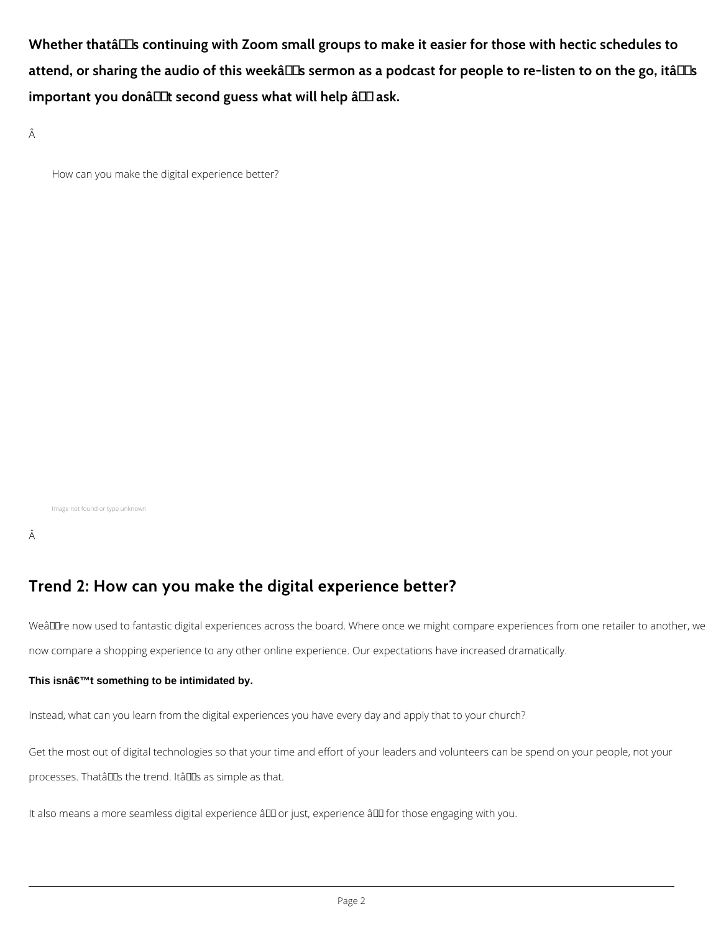Whether thata<sup>II</sup>s continuing with Zoom small groups to make it easier for those with hectic schedules to attend, or sharing the audio of this weekâlls sermon as a podcast for people to re-listen to on the go, itâlls important you donâllat second guess what will help â lask.

Â

How can you make the digital experience better?

WeâDDre now used to fantastic digital experiences across the board. Where once we might compare experiences from one retailer to another, we now compare a shopping experience to any other online experience. Our expectations have increased dramatically.

#### This isnâ€<sup>™</sup>t something to be intimidated by.

Image not found or type unknown

Â

## **Trend 2: How can you make the digital experience better?**

Instead, what can you learn from the digital experiences you have every day and apply that to your church?

Get the most out of digital technologies so that your time and effort of your leaders and volunteers can be spend on your people, not your

processes. Thatâlles the trend. Itâlles as simple as that.

It also means a more seamless digital experience â III or just, experience â III for those engaging with you.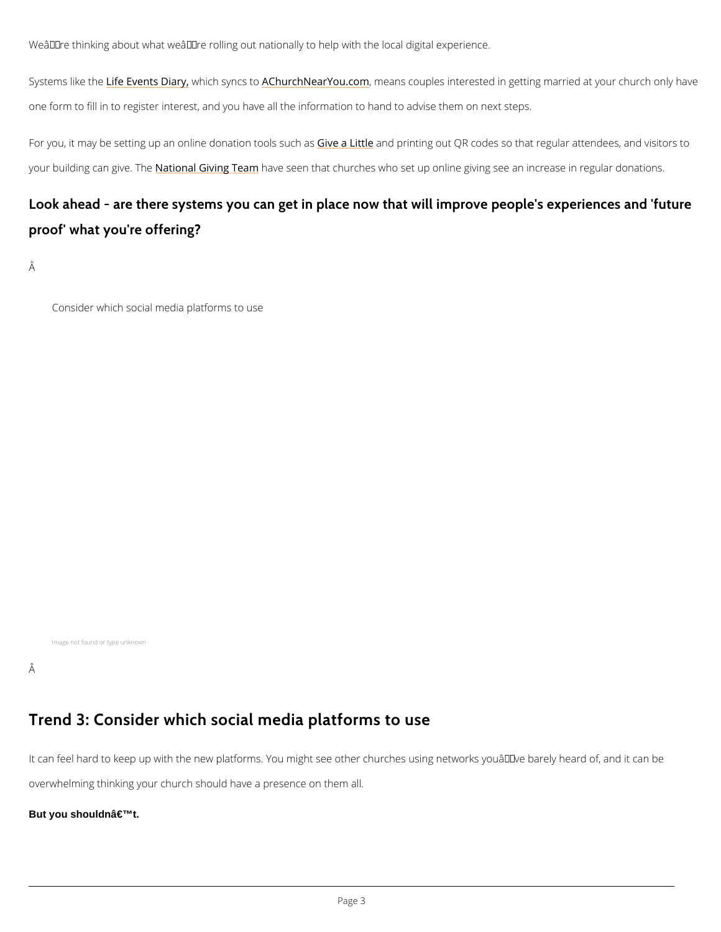We're thinking about what we're rolling out nationally to help with the local digital ex

Systems li<u>ke feh Fevents</u> **Diacy**, syn <u>ACG htuorch NearY</u>oum oecam s couples interested in getting married at your church only have a ten at your church on a vour church only have a ten at your church only have a ten at one form to fill in to register interest, and you have all the information to hand to advise the

For you, it may be setting up an online Gdiorea alion to the instruisting and QR codes so that regular attendent your building can Ngait ien alh Givingh Team een that churches who set up online giving see an incr

Look ahead - are there systems you can get in place now that will proof' what you're offering?

Â

Consider which social media platforms to use

## Trend 3: Consider which social media platforms to use

It can feel hard to keep up with the new platforms. You might see other churches using netwo

overwhelming thinking your church should have a presence on them all.

But you shouldn't.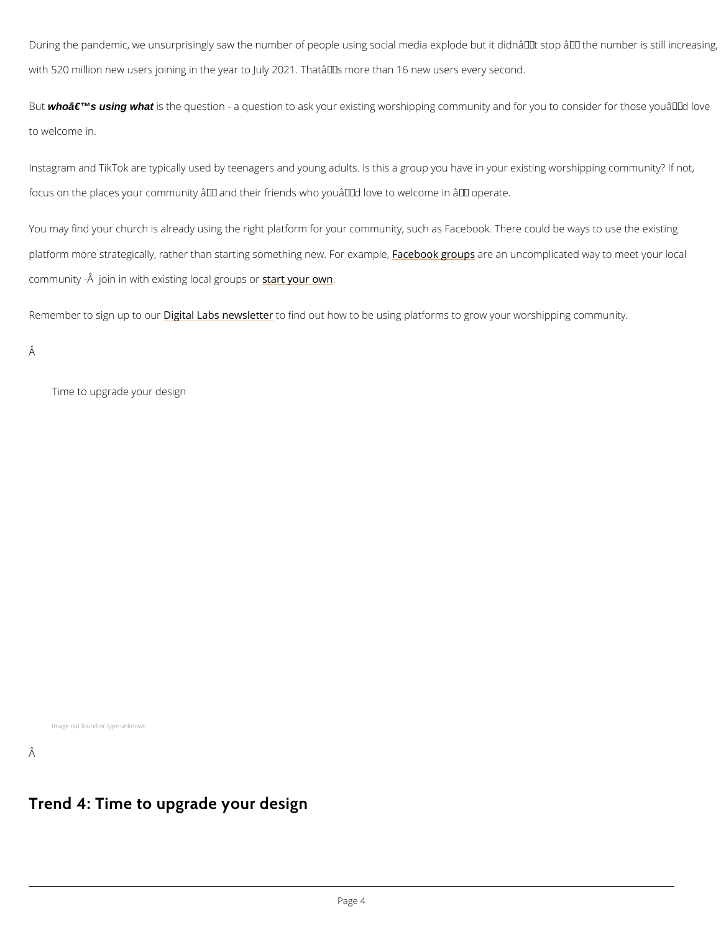During the pandemic, we unsurprisingly saw the number of people using social media explode with 520 million new users joining in the year to July 2021. That's more than 16 new user

But who a  $\epsilon$ <sup>TM</sup>s using what is the question - a question to ask your existing worshipping community and to welcome in.

Instagram and TikTok are typically used by teenagers and young adults. Is this a group you have in your focus on the places your community  $\hat{a} \in \hat{a}$  and their friends who you $\hat{a} \in \hat{a}$  and  $\hat{a}$ 

You may find your church is already using the right platform for your community, such as Face platform more strategically, rather than starting *fame the inkg group fa*oru exammple cated way to me community - Â join in with existsining rioycoaul rgorowunps or

Remember to sign Daigittcalous abs newsletter tout how to be using platforms to grow your worshipping

Â

Â

Time to upgrade your design

Image not found or type unknown

## Trend 4: Time to upgrade your design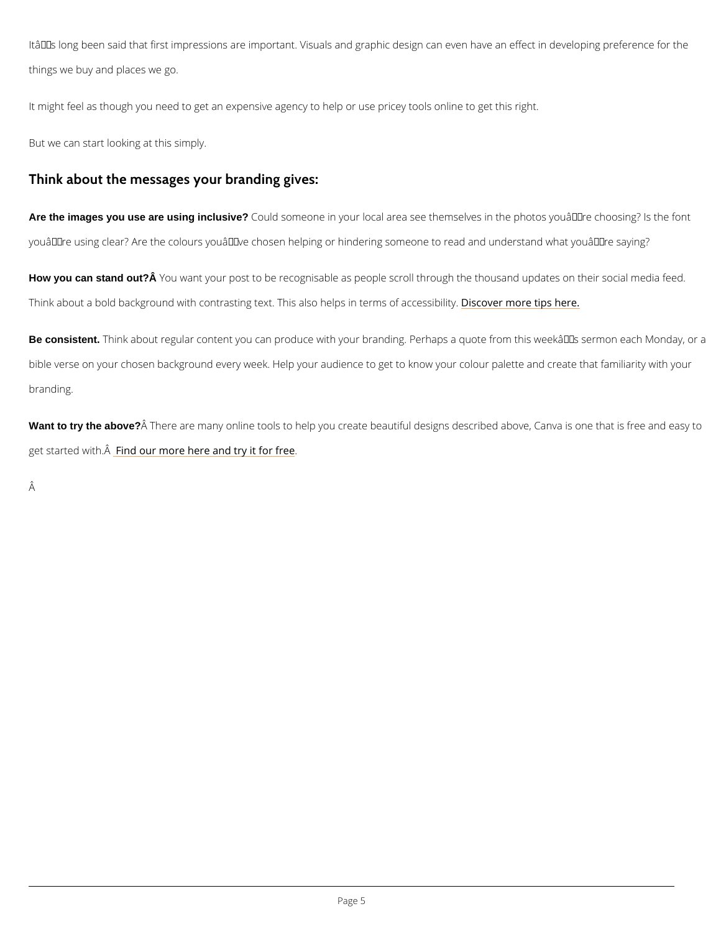It's long been said that first impressions are important. Visuals and graphic design can e things we buy and places we go.

It might feel as though you need to get an expensive agency to help or use pricey tools online But we can start looking at this simply.

Think about the messages your branding gives:

Are the images you use are using inclusive? Could someone in your local area see themselves in the photos you're using clear? Are the colours you've chosen helping or hindering someone to re

How you can stand out? A You want your post to be recognisable as people scroll through the thousan Think about a bold background with contrasting text. This **Bisoohelrp snometer prossibe fraccessibilit**y

Be consistent. Think about regular content you can produce with your branding. Perhaps a quote f bible verse on your chosen background every week. Help your audience to get to know your c branding.

Want to try the above? Â There are many online tools to help you create beautiful designs described get started wFiitrhd  $\hat{A}$ our more here and try it for free

Â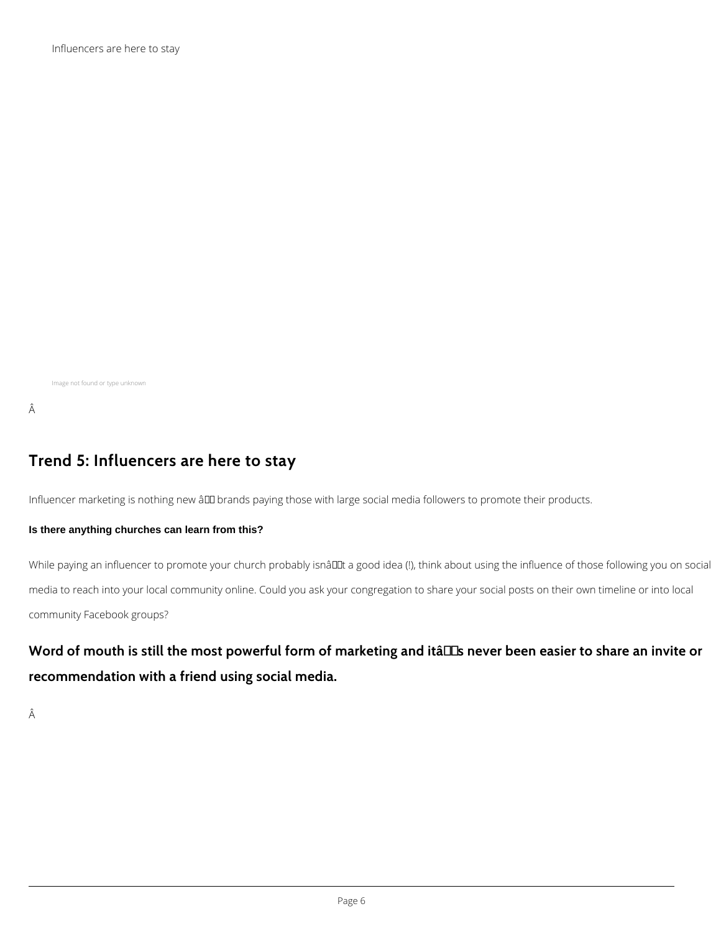Influencers are here to stay

Image not found or type unknown

#### Â

## **Trend 5: Influencers are here to stay**

Influencer marketing is nothing new â00 brands paying those with large social media followers to promote their products.

#### **Is there anything churches can learn from this?**

While paying an influencer to promote your church probably isnâllet a good idea (!), think about using the influence of those following you on social media to reach into your local community online. Could you ask your congregation to share your social posts on their own timeline or into local community Facebook groups?

# Word of mouth is still the most powerful form of marketing and itâlls never been easier to share an invite or **recommendation with a friend using social media.**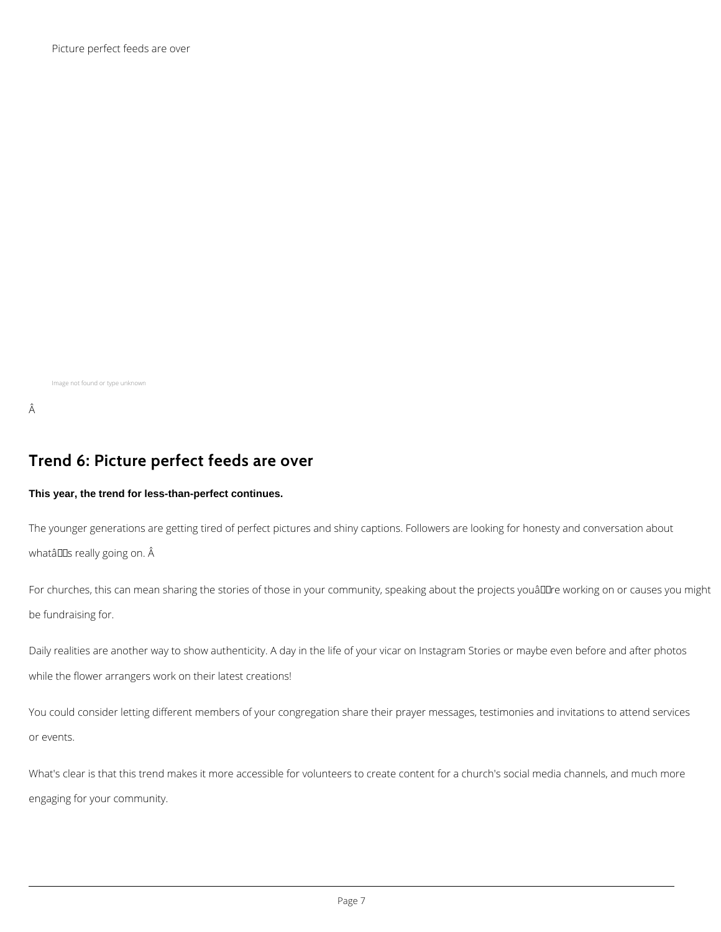Picture perfect feeds are over

Image not found or type unknown

#### Â

The younger generations are getting tired of perfect pictures and shiny captions. Followers are looking for honesty and conversation about whatâDDs really going on. Â

## **Trend 6: Picture perfect feeds are over**

#### **This year, the trend for less-than-perfect continues.**

For churches, this can mean sharing the stories of those in your community, speaking about the projects youâllare working on or causes you might be fundraising for.

Daily realities are another way to show authenticity. A day in the life of your vicar on Instagram Stories or maybe even before and after photos while the flower arrangers work on their latest creations!

You could consider letting different members of your congregation share their prayer messages, testimonies and invitations to attend services

or events.

What's clear is that this trend makes it more accessible for volunteers to create content for a church's social media channels, and much more

engaging for your community.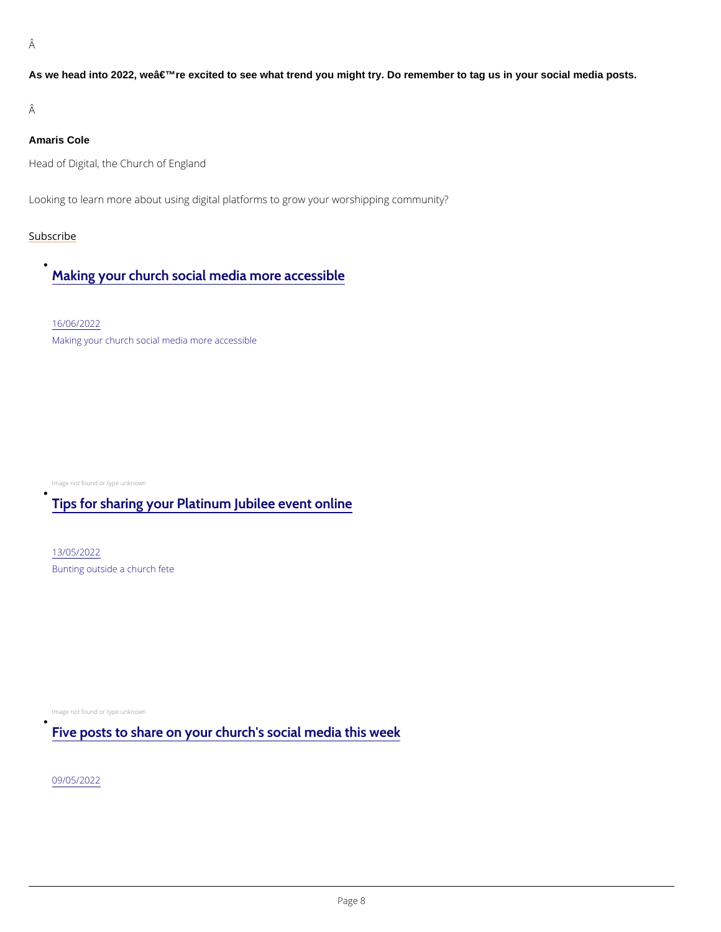Â

As we head into 2022, we're excited to see what trend you might try. Do remember to tag us in your social media posts.

Â

Amaris Cole

Head of Digital, the Church of England

Looking to learn more about using digital platforms to grow your worshipping community?

[Subscr](https://www.churchofengland.org/resources/digital-labs/digital-labs-newsletter)ibe

 $\bullet$ 

 $\bullet$ 

 $\bullet$ 

## [Making your church social media more accessible](/resources/digital-labs/blogs/making-your-church-social-media-more-accessible)

[16/06/2](/resources/digital-labs/blogs/making-your-church-social-media-more-accessible)022

Making your church social media more accessible

Image not found or type unknown

## [Tips for sharing your Platinum Jubilee event online](/tips-sharing-your-platinum-jubilee-event-online)

[13/05/2](/tips-sharing-your-platinum-jubilee-event-online)022 Bunting outside a church fete

Image not found or type unknown

## [Five posts to share on your church's social media this week](/resources/digital-labs/blogs/five-posts-share-your-churchs-social-media-week)

[09/05/2](/resources/digital-labs/blogs/five-posts-share-your-churchs-social-media-week)022